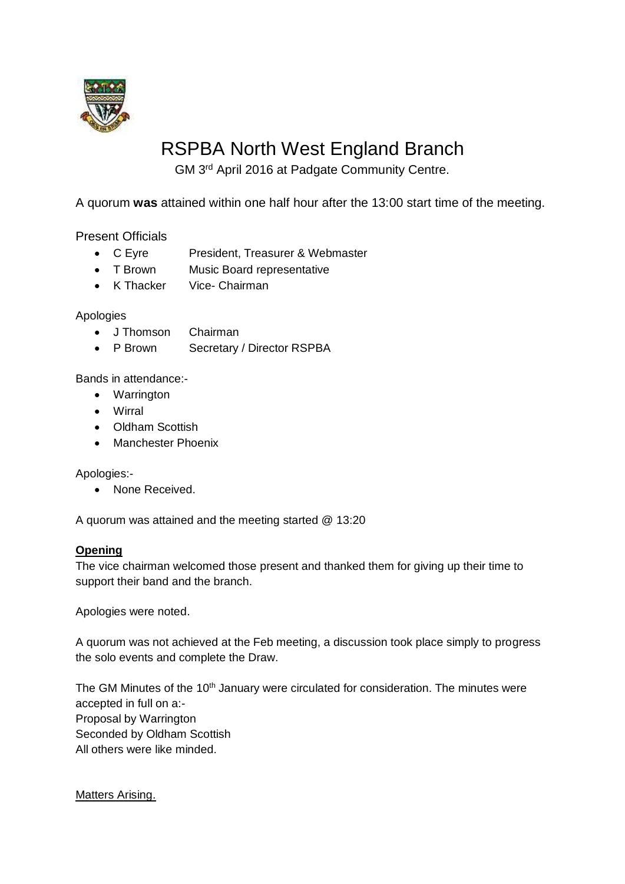

# RSPBA North West England Branch

GM 3<sup>rd</sup> April 2016 at Padgate Community Centre.

A quorum **was** attained within one half hour after the 13:00 start time of the meeting.

Present Officials

- C Eyre President, Treasurer & Webmaster
- T Brown Music Board representative
- K Thacker Vice- Chairman

# Apologies

- J Thomson Chairman
- P Brown Secretary / Director RSPBA

Bands in attendance:-

- Warrington
- Wirral
- Oldham Scottish
- Manchester Phoenix

Apologies:-

• None Received.

A quorum was attained and the meeting started @ 13:20

## **Opening**

The vice chairman welcomed those present and thanked them for giving up their time to support their band and the branch.

Apologies were noted.

A quorum was not achieved at the Feb meeting, a discussion took place simply to progress the solo events and complete the Draw.

The GM Minutes of the 10<sup>th</sup> January were circulated for consideration. The minutes were accepted in full on a:- Proposal by Warrington Seconded by Oldham Scottish All others were like minded.

Matters Arising.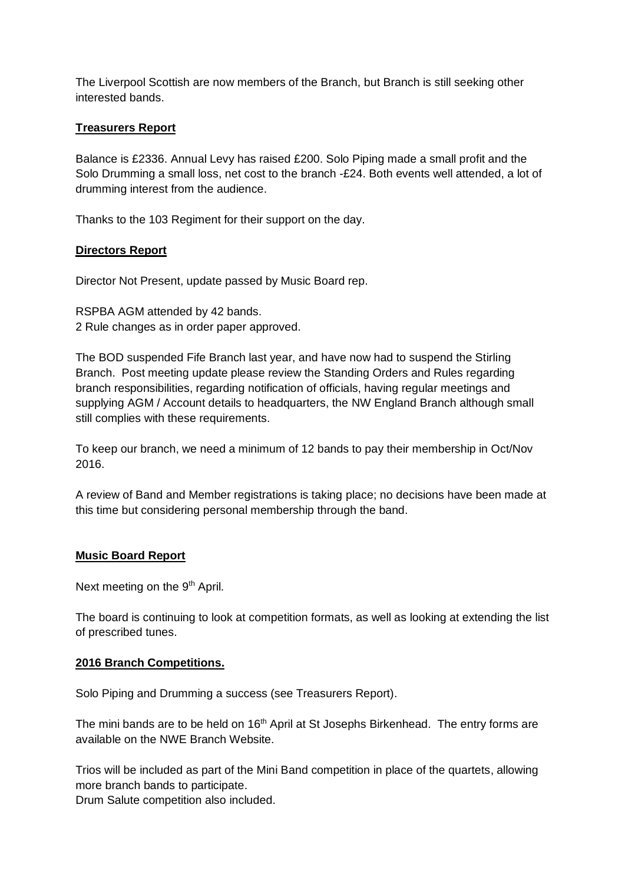The Liverpool Scottish are now members of the Branch, but Branch is still seeking other interested bands.

# **Treasurers Report**

Balance is £2336. Annual Levy has raised £200. Solo Piping made a small profit and the Solo Drumming a small loss, net cost to the branch -£24. Both events well attended, a lot of drumming interest from the audience.

Thanks to the 103 Regiment for their support on the day.

# **Directors Report**

Director Not Present, update passed by Music Board rep.

RSPBA AGM attended by 42 bands. 2 Rule changes as in order paper approved.

The BOD suspended Fife Branch last year, and have now had to suspend the Stirling Branch. Post meeting update please review the Standing Orders and Rules regarding branch responsibilities, regarding notification of officials, having regular meetings and supplying AGM / Account details to headquarters, the NW England Branch although small still complies with these requirements.

To keep our branch, we need a minimum of 12 bands to pay their membership in Oct/Nov 2016.

A review of Band and Member registrations is taking place; no decisions have been made at this time but considering personal membership through the band.

## **Music Board Report**

Next meeting on the 9<sup>th</sup> April.

The board is continuing to look at competition formats, as well as looking at extending the list of prescribed tunes.

## **2016 Branch Competitions.**

Solo Piping and Drumming a success (see Treasurers Report).

The mini bands are to be held on  $16<sup>th</sup>$  April at St Josephs Birkenhead. The entry forms are available on the NWE Branch Website.

Trios will be included as part of the Mini Band competition in place of the quartets, allowing more branch bands to participate.

Drum Salute competition also included.